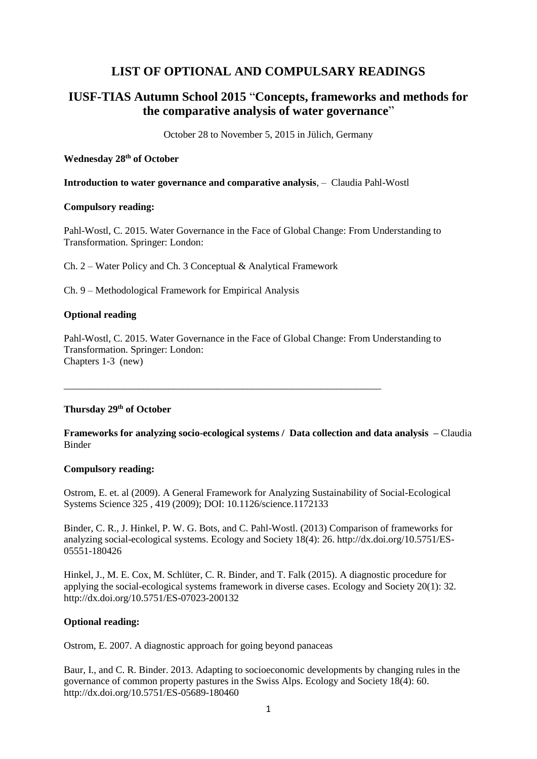# **LIST OF OPTIONAL AND COMPULSARY READINGS**

# **IUSF-TIAS Autumn School 2015** "**Concepts, frameworks and methods for the comparative analysis of water governance**"

October 28 to November 5, 2015 in Jülich, Germany

# **Wednesday 28th of October**

**Introduction to water governance and comparative analysis**, – Claudia Pahl-Wostl

# **Compulsory reading:**

Pahl-Wostl, C. 2015. Water Governance in the Face of Global Change: From Understanding to Transformation. Springer: London:

Ch. 2 – Water Policy and Ch. 3 Conceptual & Analytical Framework

Ch. 9 – Methodological Framework for Empirical Analysis

# **Optional reading**

Pahl-Wostl, C. 2015. Water Governance in the Face of Global Change: From Understanding to Transformation. Springer: London: Chapters 1-3 (new)

\_\_\_\_\_\_\_\_\_\_\_\_\_\_\_\_\_\_\_\_\_\_\_\_\_\_\_\_\_\_\_\_\_\_\_\_\_\_\_\_\_\_\_\_\_\_\_\_\_\_\_\_\_\_\_\_\_\_\_\_\_\_\_\_

# **Thursday 29th of October**

**Frameworks for analyzing socio-ecological systems / Data collection and data analysis –** Claudia Binder

# **Compulsory reading:**

Ostrom, E. et. al (2009). A General Framework for Analyzing Sustainability of Social-Ecological Systems Science 325 , 419 (2009); DOI: 10.1126/science.1172133

Binder, C. R., J. Hinkel, P. W. G. Bots, and C. Pahl-Wostl. (2013) Comparison of frameworks for analyzing social-ecological systems. Ecology and Society 18(4): 26. http://dx.doi.org/10.5751/ES-05551-180426

Hinkel, J., M. E. Cox, M. Schlüter, C. R. Binder, and T. Falk (2015). A diagnostic procedure for applying the social-ecological systems framework in diverse cases. Ecology and Society 20(1): 32. http://dx.doi.org/10.5751/ES-07023-200132

# **Optional reading:**

Ostrom, E. 2007. A diagnostic approach for going beyond panaceas

Baur, I., and C. R. Binder. 2013. Adapting to socioeconomic developments by changing rules in the governance of common property pastures in the Swiss Alps. Ecology and Society 18(4): 60. http://dx.doi.org/10.5751/ES-05689-180460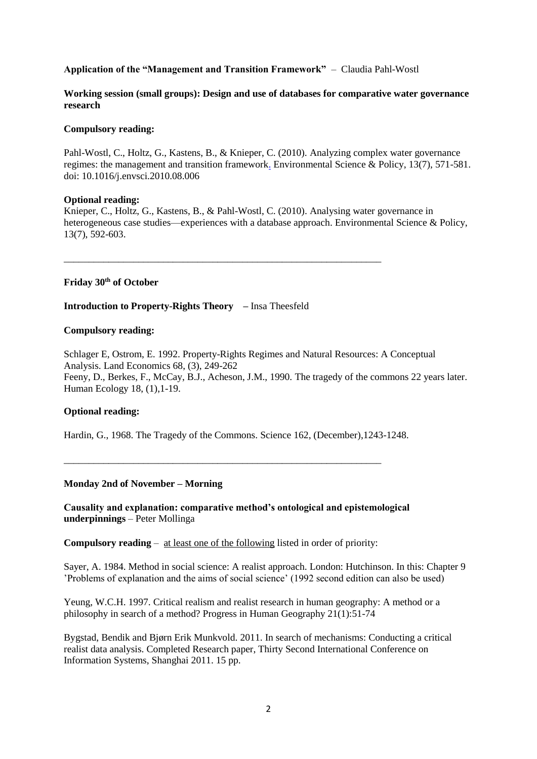# **Application of the "Management and Transition Framework"** – Claudia Pahl-Wostl

# **Working session (small groups): Design and use of databases for comparative water governance research**

# **Compulsory reading:**

Pahl-Wostl, C., Holtz, G., Kastens, B., & Knieper, C. (2010). Analyzing complex water governance regimes: the management and transition framewor[k.](http://www.tias-web.info/wp-content/uploads/2015/09/151029_Aft_Opt_Knieper-et-al_2010_water-governance-database-approach.pdf) Environmental Science & Policy, 13(7), 571-581. doi: 10.1016/j.envsci.2010.08.006

### **Optional reading:**

Knieper, C., Holtz, G., Kastens, B., & Pahl-Wostl, C. (2010). Analysing water governance in heterogeneous case studies—experiences with a database approach. Environmental Science & Policy, 13(7), 592-603.

**Friday 30th of October**

**Introduction to Property-Rights Theory –** Insa Theesfeld

\_\_\_\_\_\_\_\_\_\_\_\_\_\_\_\_\_\_\_\_\_\_\_\_\_\_\_\_\_\_\_\_\_\_\_\_\_\_\_\_\_\_\_\_\_\_\_\_\_\_\_\_\_\_\_\_\_\_\_\_\_\_\_\_

## **Compulsory reading:**

Schlager E, Ostrom, E. 1992. Property-Rights Regimes and Natural Resources: A Conceptual Analysis. Land Economics 68, (3), 249-262 Feeny, D., Berkes, F., McCay, B.J., Acheson, J.M., 1990. The tragedy of the commons 22 years later. Human Ecology 18, (1),1-19.

# **Optional reading:**

Hardin, G., 1968. The Tragedy of the Commons. Science 162, (December),1243-1248.

#### **Monday 2nd of November – Morning**

**Causality and explanation: comparative method's ontological and epistemological underpinnings** – Peter Mollinga

**Compulsory reading** – at least one of the following listed in order of priority:

\_\_\_\_\_\_\_\_\_\_\_\_\_\_\_\_\_\_\_\_\_\_\_\_\_\_\_\_\_\_\_\_\_\_\_\_\_\_\_\_\_\_\_\_\_\_\_\_\_\_\_\_\_\_\_\_\_\_\_\_\_\_\_\_

Sayer, A. 1984. Method in social science: A realist approach. London: Hutchinson. In this: Chapter 9 'Problems of explanation and the aims of social science' (1992 second edition can also be used)

Yeung, W.C.H. 1997. Critical realism and realist research in human geography: A method or a philosophy in search of a method? Progress in Human Geography 21(1):51-74

Bygstad, Bendik and Bjørn Erik Munkvold. 2011. In search of mechanisms: Conducting a critical realist data analysis. Completed Research paper, Thirty Second International Conference on Information Systems, Shanghai 2011. 15 pp.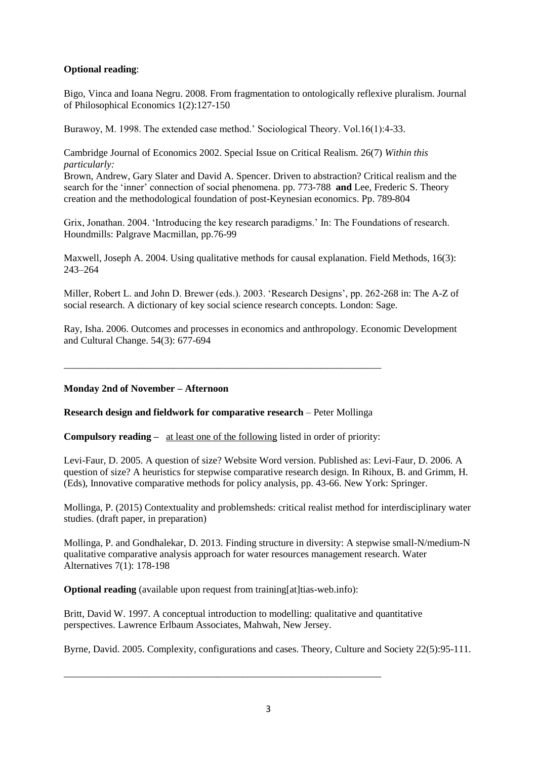# **Optional reading**:

Bigo, Vinca and Ioana Negru. 2008. From fragmentation to ontologically reflexive pluralism. Journal of Philosophical Economics 1(2):127-150

Burawoy, M. 1998. The extended case method.' Sociological Theory. Vol.16(1):4-33.

Cambridge Journal of Economics 2002. Special Issue on Critical Realism. 26(7) *Within this particularly:*

Brown, Andrew, Gary Slater and David A. Spencer. Driven to abstraction? Critical realism and the search for the 'inner' connection of social phenomena. pp. 773-788 **and** Lee, Frederic S. Theory creation and the methodological foundation of post-Keynesian economics. Pp. 789-804

Grix, Jonathan. 2004. 'Introducing the key research paradigms.' In: The Foundations of research. Houndmills: Palgrave Macmillan, pp.76-99

Maxwell, Joseph A. 2004. Using qualitative methods for causal explanation. Field Methods, 16(3): 243–264

Miller, Robert L. and John D. Brewer (eds.). 2003. 'Research Designs', pp. 262-268 in: The A-Z of social research. A dictionary of key social science research concepts. London: Sage.

Ray, Isha. 2006. Outcomes and processes in economics and anthropology. Economic Development and Cultural Change. 54(3): 677-694

\_\_\_\_\_\_\_\_\_\_\_\_\_\_\_\_\_\_\_\_\_\_\_\_\_\_\_\_\_\_\_\_\_\_\_\_\_\_\_\_\_\_\_\_\_\_\_\_\_\_\_\_\_\_\_\_\_\_\_\_\_\_\_\_

# **Monday 2nd of November – Afternoon**

**Research design and fieldwork for comparative research** – Peter Mollinga

**Compulsory reading –** at least one of the following listed in order of priority:

Levi-Faur, D. 2005. A question of size? Website Word version. Published as: Levi-Faur, D. 2006. A question of size? A heuristics for stepwise comparative research design. In Rihoux, B. and Grimm, H. (Eds), Innovative comparative methods for policy analysis, pp. 43-66. New York: Springer.

Mollinga, P. (2015) Contextuality and problemsheds: critical realist method for interdisciplinary water studies. (draft paper, in preparation)

Mollinga, P. and Gondhalekar, D. 2013. Finding structure in diversity: A stepwise small-N/medium-N qualitative comparative analysis approach for water resources management research. Water Alternatives 7(1): 178-198

**Optional reading** (available upon request from training at the subsetsion of the original reading of the subsetsion of  $\alpha$ 

\_\_\_\_\_\_\_\_\_\_\_\_\_\_\_\_\_\_\_\_\_\_\_\_\_\_\_\_\_\_\_\_\_\_\_\_\_\_\_\_\_\_\_\_\_\_\_\_\_\_\_\_\_\_\_\_\_\_\_\_\_\_\_\_

Britt, David W. 1997. A conceptual introduction to modelling: qualitative and quantitative perspectives. Lawrence Erlbaum Associates, Mahwah, New Jersey.

Byrne, David. 2005. Complexity, configurations and cases. Theory, Culture and Society 22(5):95-111.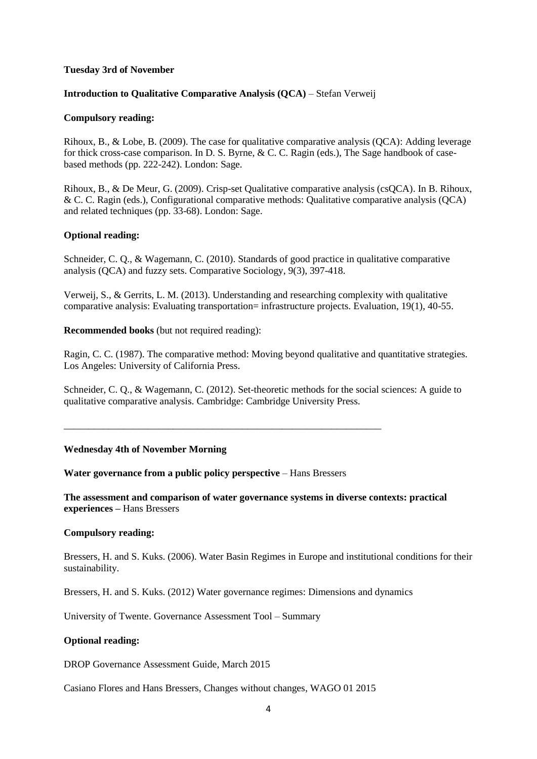# **Tuesday 3rd of November**

### **Introduction to Qualitative Comparative Analysis (QCA)** – Stefan Verweij

#### **Compulsory reading:**

Rihoux, B., & Lobe, B. (2009). The case for qualitative comparative analysis (QCA): Adding leverage for thick cross-case comparison. In D. S. Byrne, & C. C. Ragin (eds.), The Sage handbook of casebased methods (pp. 222-242). London: Sage.

Rihoux, B., & De Meur, G. (2009). Crisp-set Qualitative comparative analysis (csQCA). In B. Rihoux, & C. C. Ragin (eds.), Configurational comparative methods: Qualitative comparative analysis (QCA) and related techniques (pp. 33-68). London: Sage.

### **Optional reading:**

Schneider, C. Q., & Wagemann, C. (2010). Standards of good practice in qualitative comparative analysis (QCA) and fuzzy sets. Comparative Sociology, 9(3), 397-418.

Verweij, S., & Gerrits, L. M. (2013). Understanding and researching complexity with qualitative comparative analysis: Evaluating transportation= infrastructure projects. Evaluation, 19(1), 40-55.

**Recommended books** (but not required reading):

Ragin, C. C. (1987). The comparative method: Moving beyond qualitative and quantitative strategies. Los Angeles: University of California Press.

Schneider, C. Q., & Wagemann, C. (2012). Set-theoretic methods for the social sciences: A guide to qualitative comparative analysis. Cambridge: Cambridge University Press.

#### **Wednesday 4th of November Morning**

**Water governance from a public policy perspective** – Hans Bressers

\_\_\_\_\_\_\_\_\_\_\_\_\_\_\_\_\_\_\_\_\_\_\_\_\_\_\_\_\_\_\_\_\_\_\_\_\_\_\_\_\_\_\_\_\_\_\_\_\_\_\_\_\_\_\_\_\_\_\_\_\_\_\_\_

**The assessment and comparison of water governance systems in diverse contexts: practical experiences –** Hans Bressers

#### **Compulsory reading:**

Bressers, H. and S. Kuks. (2006). Water Basin Regimes in Europe and institutional conditions for their sustainability.

Bressers, H. and S. Kuks. (2012) Water governance regimes: Dimensions and dynamics

University of Twente. Governance Assessment Tool – Summary

#### **Optional reading:**

DROP Governance Assessment Guide, March 2015

Casiano Flores and Hans Bressers, Changes without changes, WAGO 01 2015